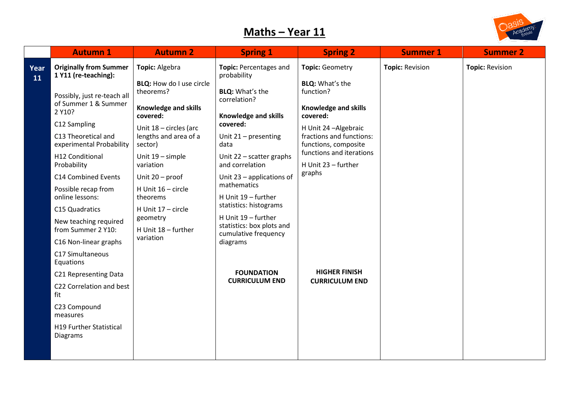## **Maths – Year 11**



| <b>Autumn 1</b>                                                                                                                                                                                                                                                                                                                                                                                                                                                                                     | <b>Autumn 2</b>                                                                                                                                                                                                                                                                                                                     | <b>Spring 1</b>                                                                                                                                                                                                                                                                                                                                                                                                                              | <b>Spring 2</b>                                                                                                                                                                                                                                                                       | <b>Summer 1</b>        | <b>Summer 2</b>        |
|-----------------------------------------------------------------------------------------------------------------------------------------------------------------------------------------------------------------------------------------------------------------------------------------------------------------------------------------------------------------------------------------------------------------------------------------------------------------------------------------------------|-------------------------------------------------------------------------------------------------------------------------------------------------------------------------------------------------------------------------------------------------------------------------------------------------------------------------------------|----------------------------------------------------------------------------------------------------------------------------------------------------------------------------------------------------------------------------------------------------------------------------------------------------------------------------------------------------------------------------------------------------------------------------------------------|---------------------------------------------------------------------------------------------------------------------------------------------------------------------------------------------------------------------------------------------------------------------------------------|------------------------|------------------------|
| <b>Originally from Summer</b><br>1 Y11 (re-teaching):<br>Possibly, just re-teach all<br>of Summer 1 & Summer<br>2 Y10?<br>C12 Sampling<br>C13 Theoretical and<br>experimental Probability<br>H12 Conditional<br>Probability<br>C14 Combined Events<br>Possible recap from<br>online lessons:<br>C15 Quadratics<br>New teaching required<br>from Summer 2 Y10:<br>C16 Non-linear graphs<br>C17 Simultaneous<br>Equations<br>C21 Representing Data<br>C22 Correlation and best<br>fit<br>C23 Compound | Topic: Algebra<br><b>BLQ:</b> How do I use circle<br>theorems?<br><b>Knowledge and skills</b><br>covered:<br>Unit 18 - circles (arc<br>lengths and area of a<br>sector)<br>Unit 19 - simple<br>variation<br>Unit 20 - proof<br>H Unit 16 - circle<br>theorems<br>H Unit 17 - circle<br>geometry<br>H Unit 18 - further<br>variation | Topic: Percentages and<br>probability<br><b>BLQ:</b> What's the<br>correlation?<br><b>Knowledge and skills</b><br>covered:<br>Unit 21 - presenting<br>data<br>Unit 22 - scatter graphs<br>and correlation<br>Unit 23 - applications of<br>mathematics<br>H Unit 19 - further<br>statistics: histograms<br>H Unit 19 - further<br>statistics: box plots and<br>cumulative frequency<br>diagrams<br><b>FOUNDATION</b><br><b>CURRICULUM END</b> | Topic: Geometry<br><b>BLQ:</b> What's the<br>function?<br>Knowledge and skills<br>covered:<br>H Unit 24 - Algebraic<br>fractions and functions:<br>functions, composite<br>functions and iterations<br>H Unit 23 - further<br>graphs<br><b>HIGHER FINISH</b><br><b>CURRICULUM END</b> | <b>Topic: Revision</b> | <b>Topic: Revision</b> |
| measures<br><b>H19 Further Statistical</b><br>Diagrams                                                                                                                                                                                                                                                                                                                                                                                                                                              |                                                                                                                                                                                                                                                                                                                                     |                                                                                                                                                                                                                                                                                                                                                                                                                                              |                                                                                                                                                                                                                                                                                       |                        |                        |
|                                                                                                                                                                                                                                                                                                                                                                                                                                                                                                     |                                                                                                                                                                                                                                                                                                                                     |                                                                                                                                                                                                                                                                                                                                                                                                                                              |                                                                                                                                                                                                                                                                                       |                        |                        |